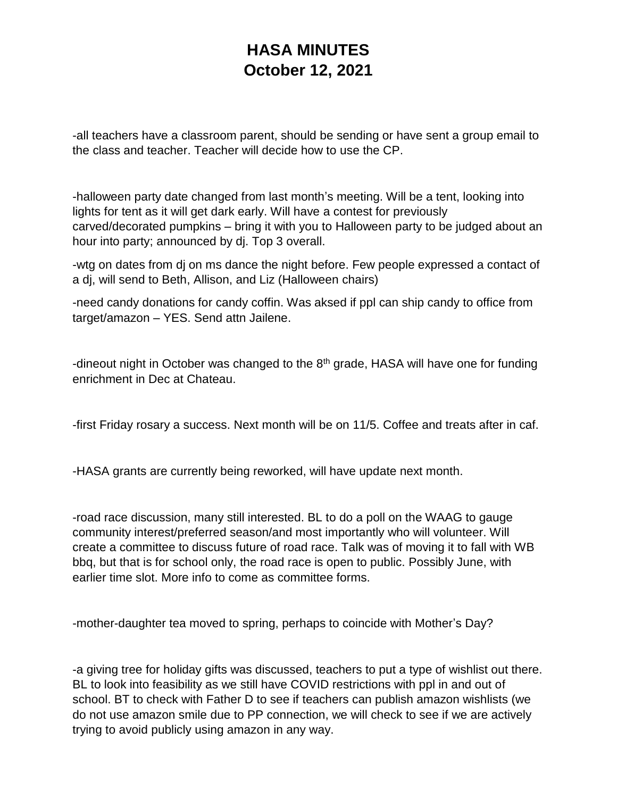## **HASA MINUTES October 12, 2021**

-all teachers have a classroom parent, should be sending or have sent a group email to the class and teacher. Teacher will decide how to use the CP.

-halloween party date changed from last month's meeting. Will be a tent, looking into lights for tent as it will get dark early. Will have a contest for previously carved/decorated pumpkins – bring it with you to Halloween party to be judged about an hour into party; announced by dj. Top 3 overall.

-wtg on dates from dj on ms dance the night before. Few people expressed a contact of a dj, will send to Beth, Allison, and Liz (Halloween chairs)

-need candy donations for candy coffin. Was aksed if ppl can ship candy to office from target/amazon – YES. Send attn Jailene.

-dineout night in October was changed to the  $8<sup>th</sup>$  grade, HASA will have one for funding enrichment in Dec at Chateau.

-first Friday rosary a success. Next month will be on 11/5. Coffee and treats after in caf.

-HASA grants are currently being reworked, will have update next month.

-road race discussion, many still interested. BL to do a poll on the WAAG to gauge community interest/preferred season/and most importantly who will volunteer. Will create a committee to discuss future of road race. Talk was of moving it to fall with WB bbq, but that is for school only, the road race is open to public. Possibly June, with earlier time slot. More info to come as committee forms.

-mother-daughter tea moved to spring, perhaps to coincide with Mother's Day?

-a giving tree for holiday gifts was discussed, teachers to put a type of wishlist out there. BL to look into feasibility as we still have COVID restrictions with ppl in and out of school. BT to check with Father D to see if teachers can publish amazon wishlists (we do not use amazon smile due to PP connection, we will check to see if we are actively trying to avoid publicly using amazon in any way.